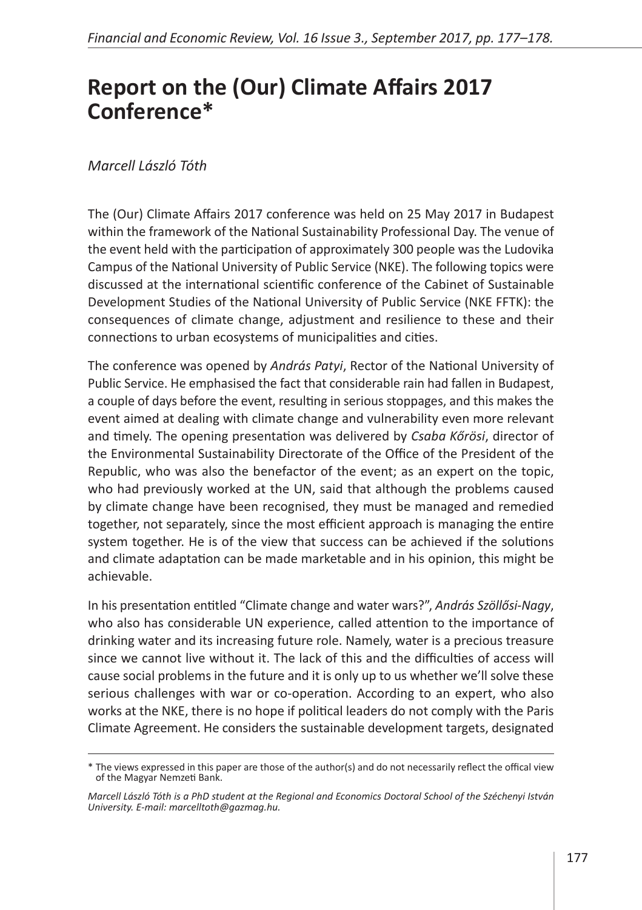## **Report on the (Our) Climate Affairs 2017 Conference\***

## *Marcell László Tóth*

The (Our) Climate Affairs 2017 conference was held on 25 May 2017 in Budapest within the framework of the National Sustainability Professional Day. The venue of the event held with the participation of approximately 300 people was the Ludovika Campus of the National University of Public Service (NKE). The following topics were discussed at the international scientific conference of the Cabinet of Sustainable Development Studies of the National University of Public Service (NKE FFTK): the consequences of climate change, adjustment and resilience to these and their connections to urban ecosystems of municipalities and cities.

The conference was opened by *András Patyi*, Rector of the National University of Public Service. He emphasised the fact that considerable rain had fallen in Budapest, a couple of days before the event, resulting in serious stoppages, and this makes the event aimed at dealing with climate change and vulnerability even more relevant and timely. The opening presentation was delivered by *Csaba Kőrösi*, director of the Environmental Sustainability Directorate of the Office of the President of the Republic, who was also the benefactor of the event; as an expert on the topic, who had previously worked at the UN, said that although the problems caused by climate change have been recognised, they must be managed and remedied together, not separately, since the most efficient approach is managing the entire system together. He is of the view that success can be achieved if the solutions and climate adaptation can be made marketable and in his opinion, this might be achievable.

In his presentation entitled "Climate change and water wars?", *András Szöllősi-Nagy*, who also has considerable UN experience, called attention to the importance of drinking water and its increasing future role. Namely, water is a precious treasure since we cannot live without it. The lack of this and the difficulties of access will cause social problems in the future and it is only up to us whether we'll solve these serious challenges with war or co-operation. According to an expert, who also works at the NKE, there is no hope if political leaders do not comply with the Paris Climate Agreement. He considers the sustainable development targets, designated

<sup>\*</sup> The views expressed in this paper are those of the author(s) and do not necessarily reflect the offical view of the Magyar Nemzeti Bank.

*Marcell László Tóth is a PhD student at the Regional and Economics Doctoral School of the Széchenyi István University. E-mail: marcelltoth@gazmag.hu.*